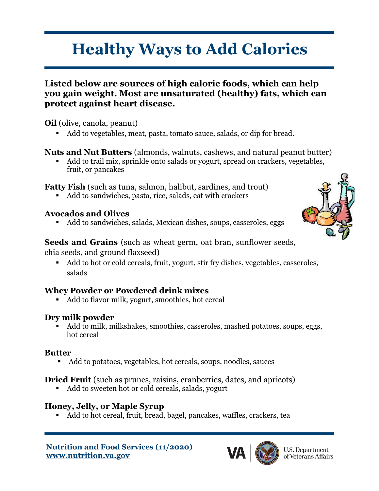# **Healthy Ways to Add Calories**

#### **Listed below are sources of high calorie foods, which can help you gain weight. Most are unsaturated (healthy) fats, which can protect against heart disease.**

**Oil** (olive, canola, peanut)

■ Add to vegetables, meat, pasta, tomato sauce, salads, or dip for bread.

#### **Nuts and Nut Butters** (almonds, walnuts, cashews, and natural peanut butter)

■ Add to trail mix, sprinkle onto salads or yogurt, spread on crackers, vegetables, fruit, or pancakes

**Fatty Fish** (such as tuna, salmon, halibut, sardines, and trout)

Add to sandwiches, pasta, rice, salads, eat with crackers

#### **Avocados and Olives**

Add to sandwiches, salads, Mexican dishes, soups, casseroles, eggs

#### **Seeds and Grains** (such as wheat germ, oat bran, sunflower seeds, chia seeds, and ground flaxseed)

■ Add to hot or cold cereals, fruit, yogurt, stir fry dishes, vegetables, casseroles, salads

## **Whey Powder or Powdered drink mixes**

Add to flavor milk, yogurt, smoothies, hot cereal

#### **Dry milk powder**

Add to milk, milkshakes, smoothies, casseroles, mashed potatoes, soups, eggs, hot cereal

#### **Butter**

■ Add to potatoes, vegetables, hot cereals, soups, noodles, sauces

## **Dried Fruit** (such as prunes, raisins, cranberries, dates, and apricots)

■ Add to sweeten hot or cold cereals, salads, yogurt

# **Honey, Jelly, or Maple Syrup**

▪ Add to hot cereal, fruit, bread, bagel, pancakes, waffles, crackers, tea